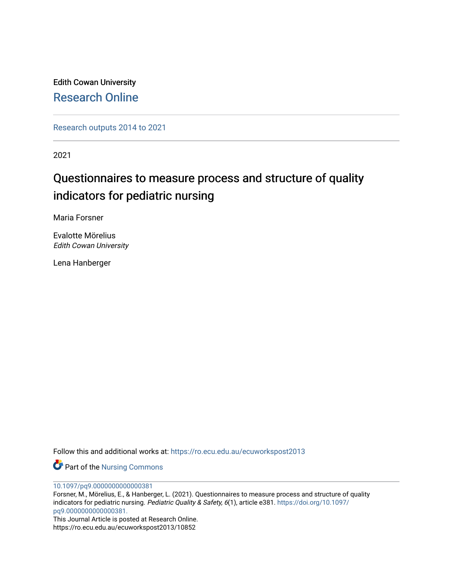Edith Cowan University [Research Online](https://ro.ecu.edu.au/) 

[Research outputs 2014 to 2021](https://ro.ecu.edu.au/ecuworkspost2013) 

2021

# Questionnaires to measure process and structure of quality indicators for pediatric nursing

Maria Forsner

Evalotte Mörelius Edith Cowan University

Lena Hanberger

Follow this and additional works at: [https://ro.ecu.edu.au/ecuworkspost2013](https://ro.ecu.edu.au/ecuworkspost2013?utm_source=ro.ecu.edu.au%2Fecuworkspost2013%2F10852&utm_medium=PDF&utm_campaign=PDFCoverPages) 

Part of the [Nursing Commons](http://network.bepress.com/hgg/discipline/718?utm_source=ro.ecu.edu.au%2Fecuworkspost2013%2F10852&utm_medium=PDF&utm_campaign=PDFCoverPages) 

[10.1097/pq9.0000000000000381](http://dx.doi.org/10.1097/pq9.0000000000000381) 

Forsner, M., Mörelius, E., & Hanberger, L. (2021). Questionnaires to measure process and structure of quality indicators for pediatric nursing. Pediatric Quality & Safety, 6(1), article e381. [https://doi.org/10.1097/](https://doi.org/10.1097/pq9.0000000000000381.) [pq9.0000000000000381.](https://doi.org/10.1097/pq9.0000000000000381.) 

This Journal Article is posted at Research Online. https://ro.ecu.edu.au/ecuworkspost2013/10852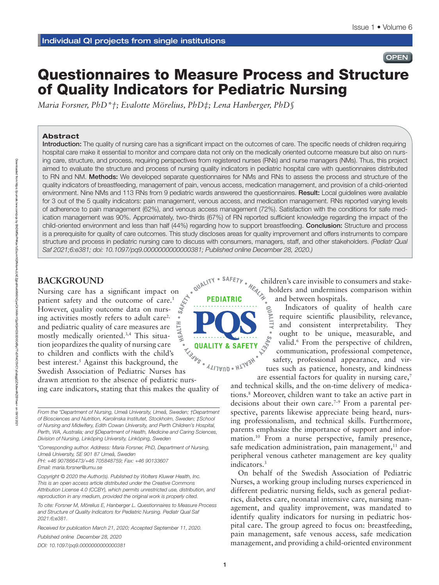## **OPEN**

## Questionnaires to Measure Process and Structure of Quality Indicators for Pediatric Nursing

*Maria Forsner, PhD\*†; Evalotte Mörelius, PhD‡; Lena Hanberger, PhD§* 

#### Abstract

Introduction: The quality of nursing care has a significant impact on the outcomes of care. The specific needs of children requiring hospital care make it essential to monitor and compare data not only on the medically oriented outcome measure but also on nursing care, structure, and process, requiring perspectives from registered nurses (RNs) and nurse managers (NMs). Thus, this project aimed to evaluate the structure and process of nursing quality indicators in pediatric hospital care with questionnaires distributed to RN and NM. Methods: We developed separate questionnaires for NMs and RNs to assess the process and structure of the quality indicators of breastfeeding, management of pain, venous access, medication management, and provision of a child-oriented environment. Nine NMs and 113 RNs from 9 pediatric wards answered the questionnaires. Result: Local quidelines were available for 3 out of the 5 quality indicators: pain management, venous access, and medication management. RNs reported varying levels of adherence to pain management (62%), and venous access management (72%). Satisfaction with the conditions for safe medication management was 90%. Approximately, two-thirds (67%) of RN reported sufficient knowledge regarding the impact of the child-oriented environment and less than half (44%) regarding how to support breastfeeding. Conclusion: Structure and process is a prerequisite for quality of care outcomes. This study discloses areas for quality improvement and offers instruments to compare structure and process in pediatric nursing care to discuss with consumers, managers, staff, and other stakeholders. *(Pediatr Qual Saf 2021;6:e381; doi: 10.1097/pq9.0000000000000381; Published online December 28, 2020.)*

## **BACKGROUND**

 $\begin{array}{c} \begin{array}{c} \text{2.13\textwidth} \end{array}$  Nursing care has a significant impact on patient safety and the outcome of care.<sup>1</sup> patient safety and the outcome of care.<sup>1</sup> However, quality outcome data on nursing activities mostly refers to adult care<sup>2,</sup> and pediatric quality of care measures are mostly medically oriented.3,4 This situation jeopardizes the quality of nursing care to children and conflicts with the child's best interest.5 Against this background, the Swedish Association of Pediatric Nurses has drawn attention to the absence of pediatric nursing care indicators, stating that this makes the quality of

*From the \*Department of Nursing, Umeå University, Umeå, Sweden; †Department of Biosciences and Nutrition, Karolinska Institutet, Stockholm, Sweden; ‡School of Nursing and Midwifery, Edith Cowan University, and Perth Children's Hospital, Perth, WA, Australia; and §Department of Health, Medicine and Caring Sciences, Division of Nursing, Linköping University, Linköping, Sweden*

*\*Corresponding author. Address: Maria Forsner, PhD, Department of Nursing, Umeå University, SE 901 87 Umeå, Sweden PH: +46 907866473/+46 705848759; Fax: +46 90133607*

*Email: [maria.forsner@umu.se](mailto:maria.forsner@umu.se)*

*Copyright © 2020 the Author(s). Published by Wolters Kluwer Health, Inc. This is an open access article distributed under the [Creative Commons](http://creativecommons.org/licenses/by/4.0/)  [Attribution License 4.0 \(CCBY\),](http://creativecommons.org/licenses/by/4.0/) which permits unrestricted use, distribution, and reproduction in any medium, provided the original work is properly cited.*

*To cite: Forsner M, Mörelius E, Hanberger L. Questionnaires to Measure Process and Structure of Quality Indicators for Pediatric Nursing. Pediatr Qual Saf 2021:6;e381.*

*Received for publication March 21, 2020; Accepted September 11, 2020.*

*Published online December 28, 2020*

*DOI: 10.1097/pq9.0000000000000381*

**LISTER QUALITY & SAFETY ALITAUD . HITASH** 

children's care invisible to consumers and stakeholders and undermines comparison within and between hospitals.

Indicators of quality of health care require scientific plausibility, relevance, and consistent interpretability. They ought to be unique, measurable, and valid.<sup>6</sup> From the perspective of children, communication, professional competence, safety, professional appearance, and virtues such as patience, honesty, and kindness

are essential factors for quality in nursing care,<sup>7</sup> and technical skills, and the on-time delivery of medications.8 Moreover, children want to take an active part in decisions about their own care.<sup> $7-9$ </sup> From a parental perspective, parents likewise appreciate being heard, nursing professionalism, and technical skills. Furthermore, parents emphasize the importance of support and information.10 From a nurse perspective, family presence, safe medication administration, pain management,<sup>11</sup> and peripheral venous catheter management are key quality indicators.3

On behalf of the Swedish Association of Pediatric Nurses, a working group including nurses experienced in different pediatric nursing fields, such as general pediatrics, diabetes care, neonatal intensive care, nursing management, and quality improvement, was mandated to identify quality indicators for nursing in pediatric hospital care. The group agreed to focus on: breastfeeding, pain management, safe venous access, safe medication management, and providing a child-oriented environment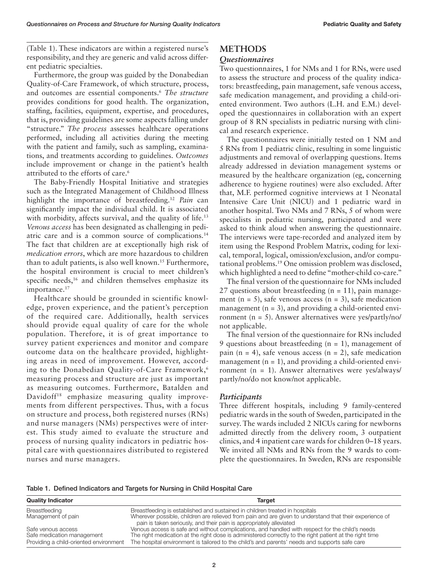(Table 1). These indicators are within a registered nurse's responsibility, and they are generic and valid across different pediatric specialties.

Furthermore, the group was guided by the Donabedian Quality-of-Care Framework, of which structure, process, and outcomes are essential components.6 *The structure* provides conditions for good health. The organization, staffing, facilities, equipment, expertise, and procedures, that is, providing guidelines are some aspects falling under "structure." *The process* assesses healthcare operations performed, including all activities during the meeting with the patient and family, such as sampling, examinations, and treatments according to guidelines. *Outcomes* include improvement or change in the patient's health attributed to the efforts of care.<sup>6</sup>

The Baby-Friendly Hospital Initiative and strategies such as the Integrated Management of Childhood Illness highlight the importance of breastfeeding.<sup>12</sup> *Pain* can significantly impact the individual child. It is associated with morbidity, affects survival, and the quality of life.<sup>13</sup> *Venous access* has been designated as challenging in pediatric care and is a common source of complications.14 The fact that children are at exceptionally high risk of *medication errors*, which are more hazardous to children than to adult patients, is also well known.<sup>15</sup> Furthermore, the hospital environment is crucial to meet children's specific needs,<sup>16</sup> and children themselves emphasize its importance.<sup>17</sup>

Healthcare should be grounded in scientific knowledge, proven experience, and the patient's perception of the required care. Additionally, health services should provide equal quality of care for the whole population. Therefore, it is of great importance to survey patient experiences and monitor and compare outcome data on the healthcare provided, highlighting areas in need of improvement. However, according to the Donabedian Quality-of-Care Framework,<sup>6</sup> measuring process and structure are just as important as measuring outcomes. Furthermore, Batalden and Davidoff<sup>18</sup> emphasize measuring quality improvements from different perspectives. Thus, with a focus on structure and process, both registered nurses (RNs) and nurse managers (NMs) perspectives were of interest. This study aimed to evaluate the structure and process of nursing quality indicators in pediatric hospital care with questionnaires distributed to registered nurses and nurse managers.

## **METHODS**

### *Questionnaires*

Two questionnaires, 1 for NMs and 1 for RNs, were used to assess the structure and process of the quality indicators: breastfeeding, pain management, safe venous access, safe medication management, and providing a child-oriented environment. Two authors (L.H. and E.M.) developed the questionnaires in collaboration with an expert group of 8 RN specialists in pediatric nursing with clinical and research experience.

The questionnaires were initially tested on 1 NM and 5 RNs from 1 pediatric clinic, resulting in some linguistic adjustments and removal of overlapping questions. Items already addressed in deviation management systems or measured by the healthcare organization (eg, concerning adherence to hygiene routines) were also excluded. After that, M.F. performed cognitive interviews at 1 Neonatal Intensive Care Unit (NICU) and 1 pediatric ward in another hospital. Two NMs and 7 RNs, 5 of whom were specialists in pediatric nursing, participated and were asked to think aloud when answering the questionnaire. The interviews were tape-recorded and analyzed item by item using the Respond Problem Matrix, coding for lexical, temporal, logical, omission/exclusion, and/or computational problems.19 One omission problem was disclosed, which highlighted a need to define "mother-child co-care."

The final version of the questionnaire for NMs included 27 questions about breastfeeding  $(n = 11)$ , pain management (n = 5), safe venous access (n = 3), safe medication management  $(n = 3)$ , and providing a child-oriented environment (n = 5). Answer alternatives were yes/partly/no/ not applicable.

The final version of the questionnaire for RNs included 9 questions about breastfeeding  $(n = 1)$ , management of pain  $(n = 4)$ , safe venous access  $(n = 2)$ , safe medication management  $(n = 1)$ , and providing a child-oriented environment (n = 1). Answer alternatives were yes/always/ partly/no/do not know/not applicable.

## *Participants*

Three different hospitals, including 9 family-centered pediatric wards in the south of Sweden, participated in the survey. The wards included 2 NICUs caring for newborns admitted directly from the delivery room, 3 outpatient clinics, and 4 inpatient care wards for children 0–18 years. We invited all NMs and RNs from the 9 wards to complete the questionnaires. In Sweden, RNs are responsible

Table 1. Defined Indicators and Targets for Nursing in Child Hospital Care

| <b>Quality Indicator</b>                                             | <b>Target</b>                                                                                                                                                                                            |
|----------------------------------------------------------------------|----------------------------------------------------------------------------------------------------------------------------------------------------------------------------------------------------------|
| Breastfeeding                                                        | Breastfeeding is established and sustained in children treated in hospitals                                                                                                                              |
| Management of pain                                                   | Wherever possible, children are relieved from pain and are given to understand that their experience of<br>pain is taken seriously, and their pain is appropriately alleviated                           |
| Safe venous access                                                   | Venous access is safe and without complications, and handled with respect for the child's needs                                                                                                          |
| Safe medication management<br>Providing a child-oriented environment | The right medication at the right dose is administered correctly to the right patient at the right time<br>The hospital environment is tailored to the child's and parents' needs and supports safe care |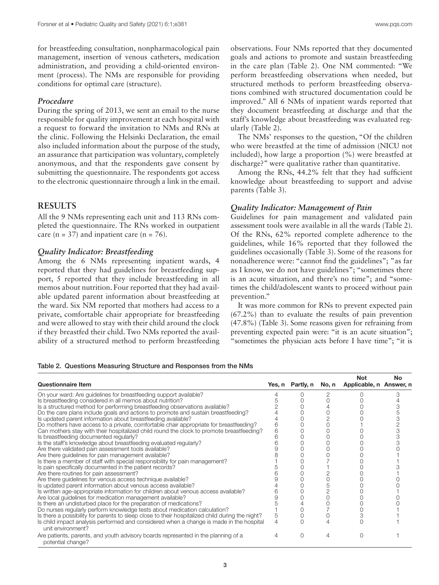for breastfeeding consultation, nonpharmacological pain management, insertion of venous catheters, medication administration, and providing a child-oriented environment (process). The NMs are responsible for providing conditions for optimal care (structure).

### *Procedure*

During the spring of 2013, we sent an email to the nurse responsible for quality improvement at each hospital with a request to forward the invitation to NMs and RNs at the clinic. Following the Helsinki Declaration, the email also included information about the purpose of the study, an assurance that participation was voluntary, completely anonymous, and that the respondents gave consent by submitting the questionnaire. The respondents got access to the electronic questionnaire through a link in the email.

## **RESULTS**

All the 9 NMs representing each unit and 113 RNs completed the questionnaire. The RNs worked in outpatient care ( $n = 37$ ) and inpatient care ( $n = 76$ ).

## *Quality Indicator: Breastfeeding*

Among the 6 NMs representing inpatient wards, 4 reported that they had guidelines for breastfeeding support, 5 reported that they include breastfeeding in all memos about nutrition. Four reported that they had available updated parent information about breastfeeding at the ward. Six NM reported that mothers had access to a private, comfortable chair appropriate for breastfeeding and were allowed to stay with their child around the clock if they breastfed their child. Two NMs reported the availability of a structured method to perform breastfeeding

observations. Four NMs reported that they documented goals and actions to promote and sustain breastfeeding in the care plan (Table 2). One NM commented: "We perform breastfeeding observations when needed, but structured methods to perform breastfeeding observations combined with structured documentation could be improved." All 6 NMs of inpatient wards reported that they document breastfeeding at discharge and that the staff's knowledge about breastfeeding was evaluated regularly (Table 2).

The NMs' responses to the question, "Of the children who were breastfed at the time of admission (NICU not included), how large a proportion (%) were breastfed at discharge?" were qualitative rather than quantitative.

Among the RNs, 44.2% felt that they had sufficient knowledge about breastfeeding to support and advise parents (Table 3).

#### *Quality Indicator: Management of Pain*

Guidelines for pain management and validated pain assessment tools were available in all the wards (Table 2). Of the RNs, 62% reported complete adherence to the guidelines, while 16% reported that they followed the guidelines occasionally (Table 3). Some of the reasons for nonadherence were: "cannot find the guidelines"; "as far as I know, we do not have guidelines"; "sometimes there is an acute situation, and there's no time"; and "sometimes the child/adolescent wants to proceed without pain prevention."

It was more common for RNs to prevent expected pain (67.2%) than to evaluate the results of pain prevention (47.8%) (Table 3). Some reasons given for refraining from preventing expected pain were: "it is an acute situation"; "sometimes the physician acts before I have time"; "it is

#### Table 2. Questions Measuring Structure and Responses from the NMs

| <b>Questionnaire Item</b>                                                                                    |   | Yes, n Partly, n |   | <b>Not</b><br>No, n Applicable, n Answer, n | <b>No</b> |
|--------------------------------------------------------------------------------------------------------------|---|------------------|---|---------------------------------------------|-----------|
| On your ward: Are guidelines for breastfeeding support available?                                            |   |                  |   |                                             |           |
| Is breastfeeding considered in all memos about nutrition?                                                    |   |                  |   |                                             |           |
| Is a structured method for performing breastfeeding observations available?                                  |   |                  |   |                                             |           |
| Do the care plans include goals and actions to promote and sustain breastfeeding?                            |   |                  |   |                                             |           |
| Is updated parent information about breastfeeding available?                                                 |   |                  |   |                                             |           |
| Do mothers have access to a private, comfortable chair appropriate for breastfeeding?                        | 6 |                  |   |                                             |           |
| Can mothers stay with their hospitalized child round the clock to promote breastfeeding?                     | 6 |                  |   |                                             |           |
| Is breastfeeding documented regularly?                                                                       |   |                  |   |                                             |           |
| Is the staff's knowledge about breastfeeding evaluated regularly?                                            |   |                  |   |                                             |           |
| Are there validated pain assessment tools available?                                                         |   |                  |   |                                             |           |
| Are there guidelines for pain management available?                                                          |   |                  |   |                                             |           |
| Is there a member of staff with special responsibility for pain management?                                  |   |                  |   |                                             |           |
| Is pain specifically documented in the patient records?                                                      |   |                  |   |                                             |           |
| Are there routines for pain assessment?                                                                      |   |                  |   |                                             |           |
| Are there guidelines for venous access technique available?                                                  |   |                  |   |                                             |           |
| Is updated parent information about venous access available?                                                 |   |                  |   |                                             |           |
| Is written age-appropriate information for children about venous access available?                           |   |                  |   |                                             |           |
| Are local guidelines for medication management available?                                                    |   |                  |   |                                             |           |
| Is there an undisturbed place for the preparation of medications?                                            |   |                  |   |                                             |           |
| Do nurses regularly perform knowledge tests about medication calculation?                                    |   |                  |   |                                             |           |
| Is there a possibility for parents to sleep close to their hospitalized child during the night?              | 5 |                  |   |                                             |           |
| Is child impact analysis performed and considered when a change is made in the hospital<br>unit environment? | 4 |                  |   |                                             |           |
| Are patients, parents, and youth advisory boards represented in the planning of a<br>potential change?       | 4 | $\Omega$         | 4 |                                             |           |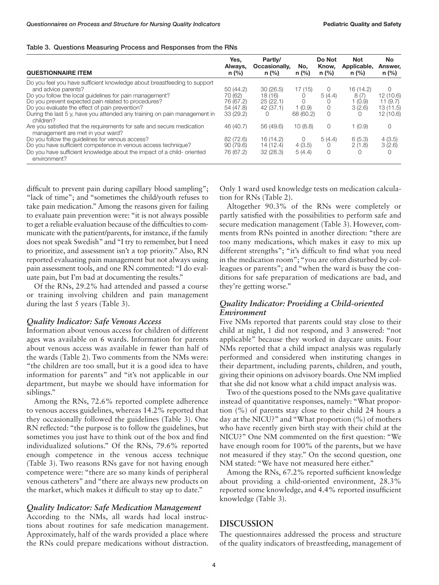|  | Table 3. Questions Measuring Process and Responses from the RNs |  |  |
|--|-----------------------------------------------------------------|--|--|
|  |                                                                 |  |  |

| <b>QUESTIONNAIRE ITEM</b>                                                                                                                                                                                                                                                                                                                                     | Yes,<br>Always,<br>$n$ (%)                                  | Partly/<br>Occasionally,<br>$n$ (%)         | No.<br>$n$ (%)                     | Do Not<br>Know,<br>$n$ (%)   | <b>Not</b><br>Applicable,<br>$n$ (%)                | No<br>Answer,<br>n (%)                                  |
|---------------------------------------------------------------------------------------------------------------------------------------------------------------------------------------------------------------------------------------------------------------------------------------------------------------------------------------------------------------|-------------------------------------------------------------|---------------------------------------------|------------------------------------|------------------------------|-----------------------------------------------------|---------------------------------------------------------|
| Do you feel you have sufficient knowledge about breastfeeding to support<br>and advice parents?<br>Do you follow the local quidelines for pain management?<br>Do you prevent expected pain related to procedures?<br>Do you evaluate the effect of pain prevention?<br>During the last 5 y, have you attended any training on pain management in<br>children? | 50 (44.2)<br>70 (62)<br>76 (67.2)<br>54 (47.8)<br>33 (29.2) | 30(26.5)<br>18(16)<br>25(22.1)<br>42 (37.1) | 17(15)<br>O<br>1(0.9)<br>68 (60.2) | 0<br>5(4.4)<br>0<br>$\Omega$ | 16 (14.2)<br>8(7)<br>1(0.9)<br>3(2.6)<br>$\bigcirc$ | $\Omega$<br>12(10.6)<br>11(9.7)<br>13(11.5)<br>12(10.6) |
| Are you satisfied that the requirements for safe and secure medication<br>management are met in your ward?                                                                                                                                                                                                                                                    | 46 (40.7)                                                   | 56 (49.6)                                   | 10(8.8)                            | 0                            | 1(0.9)                                              | 0                                                       |
| Do you follow the quidelines for venous access?<br>Do you have sufficient competence in venous access technique?<br>Do you have sufficient knowledge about the impact of a child-oriented<br>environment?                                                                                                                                                     | 82 (72.6)<br>90(79.6)<br>76 (67.2)                          | 16 (14.2)<br>14 (12.4)<br>32(28.3)          | 0<br>4(3.5)<br>5(4.4)              | 5(4.4)<br>0<br>0             | 6(5.3)<br>2(1.8)                                    | 4(3.5)<br>3(2.6)<br>$\Omega$                            |

difficult to prevent pain during capillary blood sampling"; "lack of time"; and "sometimes the child/youth refuses to take pain medication." Among the reasons given for failing to evaluate pain prevention were: "it is not always possible to get a reliable evaluation because of the difficulties to communicate with the patient/parents, for instance, if the family does not speak Swedish" and "I try to remember, but I need to prioritize, and assessment isn't a top priority." Also, RN reported evaluating pain management but not always using pain assessment tools, and one RN commented: "I do evaluate pain, but I'm bad at documenting the results."

Of the RNs, 29.2% had attended and passed a course or training involving children and pain management during the last 5 years (Table 3).

#### *Quality Indicator: Safe Venous Access*

Information about venous access for children of different ages was available on 6 wards. Information for parents about venous access was available in fewer than half of the wards (Table 2). Two comments from the NMs were: "the children are too small, but it is a good idea to have information for parents" and "it's not applicable in our department, but maybe we should have information for siblings."

Among the RNs, 72.6% reported complete adherence to venous access guidelines, whereas 14.2% reported that they occasionally followed the guidelines (Table 3). One RN reflected: "the purpose is to follow the guidelines, but sometimes you just have to think out of the box and find individualized solutions." Of the RNs, 79.6% reported enough competence in the venous access technique (Table 3). Two reasons RNs gave for not having enough competence were: "there are so many kinds of peripheral venous catheters" and "there are always new products on the market, which makes it difficult to stay up to date."

#### *Quality Indicator: Safe Medication Management*

According to the NMs, all wards had local instructions about routines for safe medication management. Approximately, half of the wards provided a place where the RNs could prepare medications without distraction.

Only 1 ward used knowledge tests on medication calculation for RNs (Table 2).

Altogether 90.3% of the RNs were completely or partly satisfied with the possibilities to perform safe and secure medication management (Table 3). However, comments from RNs pointed in another direction: "there are too many medications, which makes it easy to mix up different strengths"; "it's difficult to find what you need in the medication room"; "you are often disturbed by colleagues or parents"; and "when the ward is busy the conditions for safe preparation of medications are bad, and they're getting worse."

## *Quality Indicator: Providing a Child-oriented Environment*

Five NMs reported that parents could stay close to their child at night, 1 did not respond, and 3 answered: "not applicable" because they worked in daycare units. Four NMs reported that a child impact analysis was regularly performed and considered when instituting changes in their department, including parents, children, and youth, giving their opinions on advisory boards. One NM implied that she did not know what a child impact analysis was.

Two of the questions posed to the NMs gave qualitative instead of quantitative responses, namely: "What proportion (%) of parents stay close to their child 24 hours a day at the NICU?" and "What proportion (%) of mothers who have recently given birth stay with their child at the NICU?" One NM commented on the first question: "We have enough room for 100% of the parents, but we have not measured if they stay." On the second question, one NM stated: "We have not measured here either."

Among the RNs, 67.2% reported sufficient knowledge about providing a child-oriented environment, 28.3% reported some knowledge, and 4.4% reported insufficient knowledge (Table 3).

## **DISCUSSION**

The questionnaires addressed the process and structure of the quality indicators of breastfeeding, management of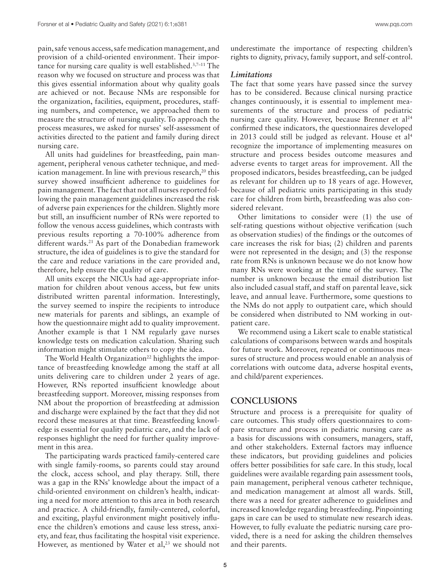pain, safe venous access, safe medication management, and provision of a child-oriented environment. Their importance for nursing care quality is well established.3,7–11 The reason why we focused on structure and process was that this gives essential information about why quality goals are achieved or not. Because NMs are responsible for the organization, facilities, equipment, procedures, staffing numbers, and competence, we approached them to measure the structure of nursing quality. To approach the process measures, we asked for nurses' self-assessment of activities directed to the patient and family during direct nursing care.

All units had guidelines for breastfeeding, pain management, peripheral venous catheter technique, and medication management. In line with previous research,<sup>20</sup> this survey showed insufficient adherence to guidelines for pain management. The fact that not all nurses reported following the pain management guidelines increased the risk of adverse pain experiences for the children. Slightly more but still, an insufficient number of RNs were reported to follow the venous access guidelines, which contrasts with previous results reporting a 70-100% adherence from different wards.<sup>21</sup> As part of the Donabedian framework structure, the idea of guidelines is to give the standard for the care and reduce variations in the care provided and, therefore, help ensure the quality of care.

All units except the NICUs had age-appropriate information for children about venous access, but few units distributed written parental information. Interestingly, the survey seemed to inspire the recipients to introduce new materials for parents and siblings, an example of how the questionnaire might add to quality improvement. Another example is that 1 NM regularly gave nurses knowledge tests on medication calculation. Sharing such information might stimulate others to copy the idea.

The World Health Organization<sup>22</sup> highlights the importance of breastfeeding knowledge among the staff at all units delivering care to children under 2 years of age. However, RNs reported insufficient knowledge about breastfeeding support. Moreover, missing responses from NM about the proportion of breastfeeding at admission and discharge were explained by the fact that they did not record these measures at that time. Breastfeeding knowledge is essential for quality pediatric care, and the lack of responses highlight the need for further quality improvement in this area.

The participating wards practiced family-centered care with single family-rooms, so parents could stay around the clock, access school, and play therapy. Still, there was a gap in the RNs' knowledge about the impact of a child-oriented environment on children's health, indicating a need for more attention to this area in both research and practice. A child-friendly, family-centered, colorful, and exciting, playful environment might positively influence the children's emotions and cause less stress, anxiety, and fear, thus facilitating the hospital visit experience. However, as mentioned by Water et  $al$ ,<sup>23</sup> we should not

underestimate the importance of respecting children's rights to dignity, privacy, family support, and self-control.

#### *Limitations*

The fact that some years have passed since the survey has to be considered. Because clinical nursing practice changes continuously, it is essential to implement measurements of the structure and process of pediatric nursing care quality. However, because Brenner et al<sup>24</sup> confirmed these indicators, the questionnaires developed in 2013 could still be judged as relevant. House et al4 recognize the importance of implementing measures on structure and process besides outcome measures and adverse events to target areas for improvement. All the proposed indicators, besides breastfeeding, can be judged as relevant for children up to 18 years of age. However, because of all pediatric units participating in this study care for children from birth, breastfeeding was also considered relevant.

Other limitations to consider were (1) the use of self-rating questions without objective verification (such as observation studies) of the findings or the outcomes of care increases the risk for bias; (2) children and parents were not represented in the design; and (3) the response rate from RNs is unknown because we do not know how many RNs were working at the time of the survey. The number is unknown because the email distribution list also included casual staff, and staff on parental leave, sick leave, and annual leave. Furthermore, some questions to the NMs do not apply to outpatient care, which should be considered when distributed to NM working in outpatient care.

We recommend using a Likert scale to enable statistical calculations of comparisons between wards and hospitals for future work. Moreover, repeated or continuous measures of structure and process would enable an analysis of correlations with outcome data, adverse hospital events, and child/parent experiences.

## **CONCLUSIONS**

Structure and process is a prerequisite for quality of care outcomes. This study offers questionnaires to compare structure and process in pediatric nursing care as a basis for discussions with consumers, managers, staff, and other stakeholders. External factors may influence these indicators, but providing guidelines and policies offers better possibilities for safe care. In this study, local guidelines were available regarding pain assessment tools, pain management, peripheral venous catheter technique, and medication management at almost all wards. Still, there was a need for greater adherence to guidelines and increased knowledge regarding breastfeeding. Pinpointing gaps in care can be used to stimulate new research ideas. However, to fully evaluate the pediatric nursing care provided, there is a need for asking the children themselves and their parents.